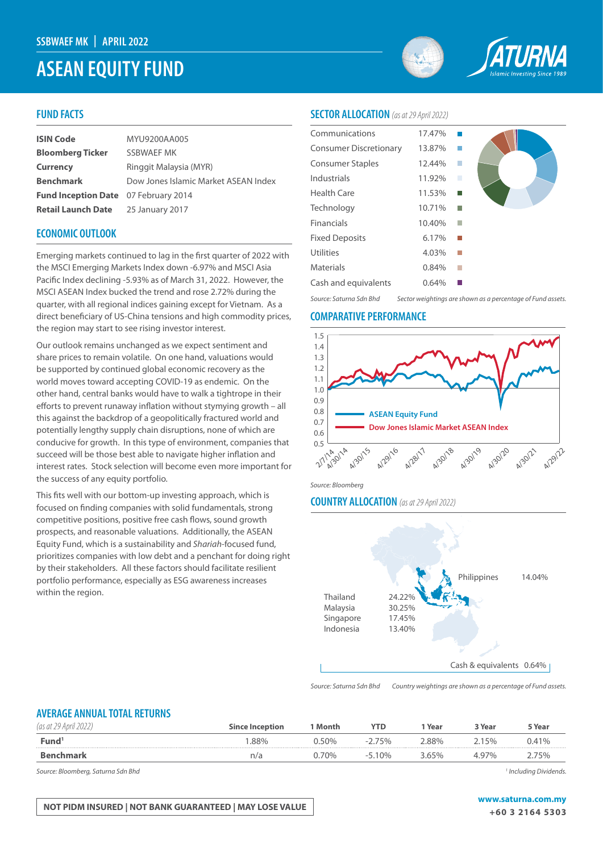# **ASEAN EQUITY FUND**



## **FUND FACTS**

| <b>ISIN Code</b>                            | MYU9200AA005                         |
|---------------------------------------------|--------------------------------------|
| <b>Bloomberg Ticker</b>                     | SSBWAEF MK                           |
| <b>Currency</b>                             | Ringgit Malaysia (MYR)               |
| <b>Benchmark</b>                            | Dow Jones Islamic Market ASEAN Index |
| <b>Fund Inception Date</b> 07 February 2014 |                                      |
| <b>Retail Launch Date</b>                   | 25 January 2017                      |

### **ECONOMIC OUTLOOK**

Emerging markets continued to lag in the first quarter of 2022 with the MSCI Emerging Markets Index down -6.97% and MSCI Asia Pacific Index declining -5.93% as of March 31, 2022. However, the MSCI ASEAN Index bucked the trend and rose 2.72% during the quarter, with all regional indices gaining except for Vietnam. As a direct beneficiary of US-China tensions and high commodity prices, the region may start to see rising investor interest.

Our outlook remains unchanged as we expect sentiment and share prices to remain volatile. On one hand, valuations would be supported by continued global economic recovery as the world moves toward accepting COVID-19 as endemic. On the other hand, central banks would have to walk a tightrope in their efforts to prevent runaway inflation without stymying growth – all this against the backdrop of a geopolitically fractured world and potentially lengthy supply chain disruptions, none of which are conducive for growth. In this type of environment, companies that succeed will be those best able to navigate higher inflation and interest rates. Stock selection will become even more important for the success of any equity portfolio.

This fits well with our bottom-up investing approach, which is focused on finding companies with solid fundamentals, strong competitive positions, positive free cash flows, sound growth prospects, and reasonable valuations. Additionally, the ASEAN Equity Fund, which is a sustainability and *Shariah*-focused fund, prioritizes companies with low debt and a penchant for doing right by their stakeholders. All these factors should facilitate resilient portfolio performance, especially as ESG awareness increases within the region.

### **SECTOR ALLOCATION** *(as at 29 April 2022)*

| Communications                | 17.47% |   |  |
|-------------------------------|--------|---|--|
| <b>Consumer Discretionary</b> | 13.87% |   |  |
| <b>Consumer Staples</b>       | 12.44% |   |  |
| Industrials                   | 11.92% | П |  |
| <b>Health Care</b>            | 11.53% |   |  |
| Technology                    | 10.71% |   |  |
| Financials                    | 10.40% |   |  |
| <b>Fixed Deposits</b>         | 6.17%  |   |  |
| Utilities                     | 4.03%  |   |  |
| Materials                     | 0.84%  |   |  |
| Cash and equivalents          | 0.64%  |   |  |
|                               |        |   |  |

*Source: Saturna Sdn Bhd Sector weightings are shown as a percentage of Fund assets.*

#### **COMPARATIVE PERFORMANCE**



*Source: Bloomberg*

### **COUNTRY ALLOCATION** *(as at 29 April 2022)*



*Source: Saturna Sdn Bhd Country weightings are shown as a percentage of Fund assets.*

### **AVERAGE ANNUAL TOTAL RETURNS**

| ' as at $z$ ,     | <b>Since Inception</b> | Month | YTD                                    | Year | २ Year | 5 Year          |
|-------------------|------------------------|-------|----------------------------------------|------|--------|-----------------|
| Fund <sup>1</sup> | .88%                   | በ‰    | <b>75%</b><br>$\overline{\phantom{a}}$ | 88%  | 5%     |                 |
|                   | n/a                    | 70%   | $.10\%$<br>-1                          |      | .97%   | 50 <sub>0</sub> |

*Source: Bloomberg, Saturna Sdn Bhd 1*

 *Including Dividends.* 

# **NOT PIDM INSURED | NOT BANK GUARANTEED | MAY LOSE VALUE WAS ARRIVED AND MY WAS A LOSE OF A STAR FOR A LOSE OF A STAR**

**+60 3 2164 5303**